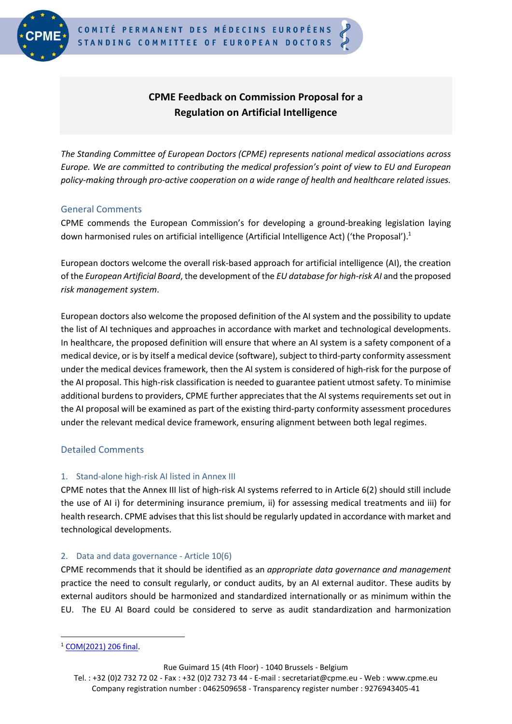

# **CPME Feedback on Commission Proposal for a Regulation on Artificial Intelligence**

*The Standing Committee of European Doctors (CPME) represents national medical associations across Europe. We are committed to contributing the medical profession's point of view to EU and European policy-making through pro-active cooperation on a wide range of health and healthcare related issues.*

## General Comments

CPME commends the European Commission's for developing a ground-breaking legislation laying down harmonised rules on artificial intelligence (Artificial Intelligence Act) ('the Proposal').<sup>1</sup>

European doctors welcome the overall risk-based approach for artificial intelligence (AI), the creation of the *European Artificial Board*, the development of the *EU database for high-risk AI* and the proposed *risk management system*.

European doctors also welcome the proposed definition of the AI system and the possibility to update the list of AI techniques and approaches in accordance with market and technological developments. In healthcare, the proposed definition will ensure that where an AI system is a safety component of a medical device, or is by itself a medical device (software), subject to third-party conformity assessment under the medical devices framework, then the AI system is considered of high-risk for the purpose of the AI proposal. This high-risk classification is needed to guarantee patient utmost safety. To minimise additional burdens to providers, CPME further appreciates that the AI systems requirements set out in the AI proposal will be examined as part of the existing third-party conformity assessment procedures under the relevant medical device framework, ensuring alignment between both legal regimes.

# Detailed Comments

## 1. Stand-alone high-risk AI listed in Annex III

CPME notes that the Annex III list of high-risk AI systems referred to in Article 6(2) should still include the use of AI i) for determining insurance premium, ii) for assessing medical treatments and iii) for health research. CPME advises that this list should be regularly updated in accordance with market and technological developments.

# 2. Data and data governance - Article 10(6)

CPME recommends that it should be identified as an *appropriate data governance and management* practice the need to consult regularly, or conduct audits, by an AI external auditor. These audits by external auditors should be harmonized and standardized internationally or as minimum within the EU. The EU AI Board could be considered to serve as audit standardization and harmonization

Rue Guimard 15 (4th Floor) - 1040 Brussels - Belgium

<sup>1</sup> [COM\(2021\) 206 final.](https://ec.europa.eu/transparency/documents-register/detail?ref=COM(2021)206&lang=en)

Tel. : +32 (0)2 732 72 02 - Fax : +32 (0)2 732 73 44 - E-mail : secretariat@cpme.eu - Web : www.cpme.eu Company registration number : 0462509658 - Transparency register number : 9276943405-41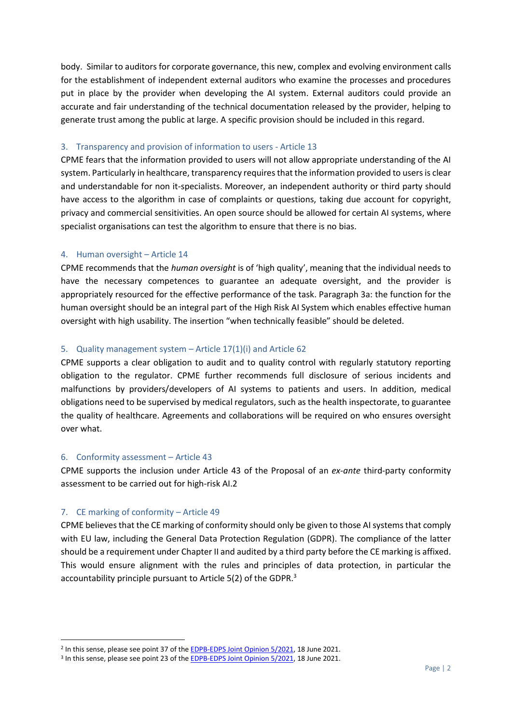body. Similar to auditors for corporate governance, this new, complex and evolving environment calls for the establishment of independent external auditors who examine the processes and procedures put in place by the provider when developing the AI system. External auditors could provide an accurate and fair understanding of the technical documentation released by the provider, helping to generate trust among the public at large. A specific provision should be included in this regard.

### 3. Transparency and provision of information to users - Article 13

CPME fears that the information provided to users will not allow appropriate understanding of the AI system. Particularly in healthcare, transparency requires that the information provided to users is clear and understandable for non it-specialists. Moreover, an independent authority or third party should have access to the algorithm in case of complaints or questions, taking due account for copyright, privacy and commercial sensitivities. An open source should be allowed for certain AI systems, where specialist organisations can test the algorithm to ensure that there is no bias.

### 4. Human oversight – Article 14

CPME recommends that the *human oversight* is of 'high quality', meaning that the individual needs to have the necessary competences to guarantee an adequate oversight, and the provider is appropriately resourced for the effective performance of the task. Paragraph 3a: the function for the human oversight should be an integral part of the High Risk AI System which enables effective human oversight with high usability. The insertion "when technically feasible" should be deleted.

## 5. Quality management system – Article 17(1)(i) and Article 62

CPME supports a clear obligation to audit and to quality control with regularly statutory reporting obligation to the regulator. CPME further recommends full disclosure of serious incidents and malfunctions by providers/developers of AI systems to patients and users. In addition, medical obligations need to be supervised by medical regulators, such as the health inspectorate, to guarantee the quality of healthcare. Agreements and collaborations will be required on who ensures oversight over what.

#### 6. Conformity assessment – Article 43

CPME supports the inclusion under Article 43 of the Proposal of an *ex-ante* third-party conformity assessment to be carried out for high-risk AI.2

## 7. CE marking of conformity – Article 49

CPME believes that the CE marking of conformity should only be given to those AI systems that comply with EU law, including the General Data Protection Regulation (GDPR). The compliance of the latter should be a requirement under Chapter II and audited by a third party before the CE marking is affixed. This would ensure alignment with the rules and principles of data protection, in particular the accountability principle pursuant to Article 5(2) of the GDPR.<sup>3</sup>

<sup>&</sup>lt;sup>2</sup> In this sense, please see point 37 of the [EDPB-EDPS Joint Opinion 5/2021,](https://edpb.europa.eu/our-work-tools/our-documents/edpbedps-joint-opinion/edpb-edps-joint-opinion-52021-proposal_en) 18 June 2021.

<sup>&</sup>lt;sup>3</sup> In this sense, please see point 23 of the **EDPB-EDPS Joint Opinion 5/2021**, 18 June 2021.